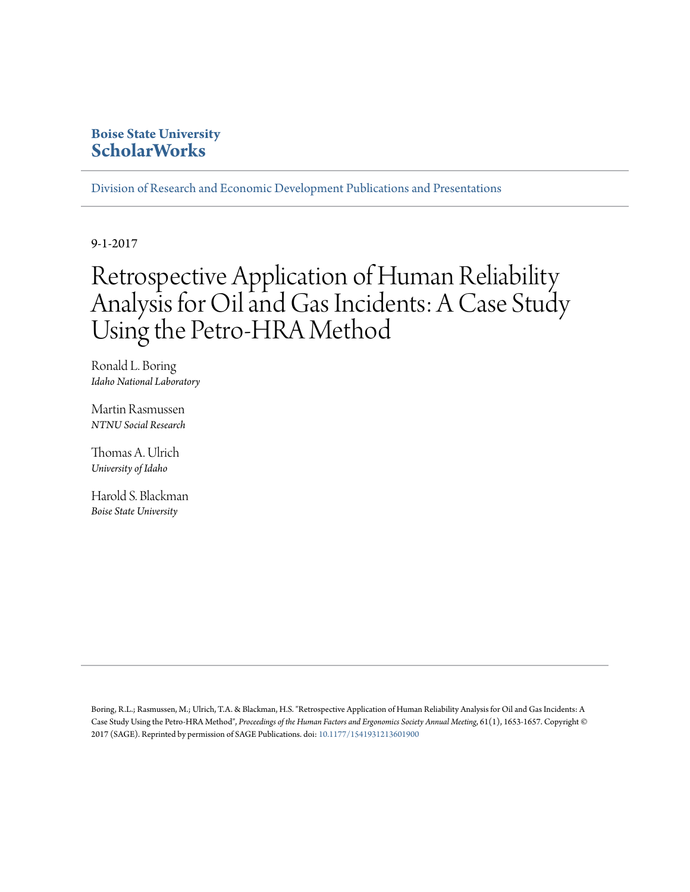# **Boise State University [ScholarWorks](https://scholarworks.boisestate.edu)**

[Division of Research and Economic Development Publications and Presentations](https://scholarworks.boisestate.edu/research_development_pubs)

9-1-2017

# Retrospective Application of Human Reliability Analysis for Oil and Gas Incidents: A Case Study Using the Petro-HRA Method

Ronald L. Boring *Idaho National Laboratory*

Martin Rasmussen *NTNU Social Research*

Thomas A. Ulrich *University of Idaho*

Harold S. Blackman *Boise State University*

Boring, R.L.; Rasmussen, M.; Ulrich, T.A. & Blackman, H.S. "Retrospective Application of Human Reliability Analysis for Oil and Gas Incidents: A Case Study Using the Petro-HRA Method", *Proceedings of the Human Factors and Ergonomics Society Annual Meeting*, 61(1), 1653-1657. Copyright © 2017 (SAGE). Reprinted by permission of SAGE Publications. doi: [10.1177/1541931213601900](https://dx.doi.org/10.1177/1541931213601900)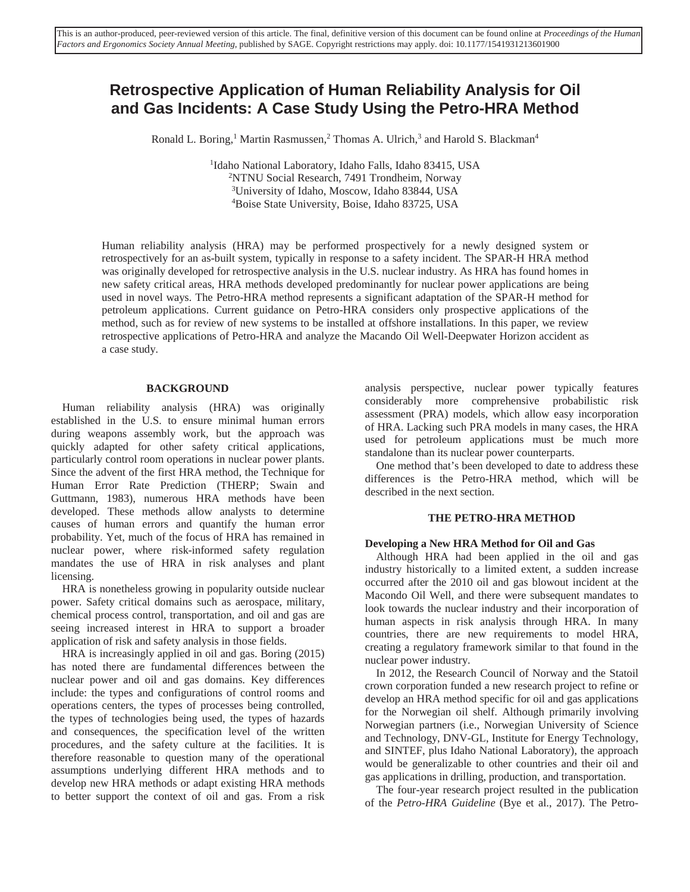# **Retrospective Application of Human Reliability Analysis for Oil and Gas Incidents: A Case Study Using the Petro-HRA Method**

Ronald L. Boring,<sup>1</sup> Martin Rasmussen,<sup>2</sup> Thomas A. Ulrich,<sup>3</sup> and Harold S. Blackman<sup>4</sup>

<sup>1</sup>Idaho National Laboratory, Idaho Falls, Idaho 83415, USA NTNU Social Research, 7491 Trondheim, Norway University of Idaho, Moscow, Idaho 83844, USA Boise State University, Boise, Idaho 83725, USA

Human reliability analysis (HRA) may be performed prospectively for a newly designed system or retrospectively for an as-built system, typically in response to a safety incident. The SPAR-H HRA method was originally developed for retrospective analysis in the U.S. nuclear industry. As HRA has found homes in new safety critical areas, HRA methods developed predominantly for nuclear power applications are being used in novel ways. The Petro-HRA method represents a significant adaptation of the SPAR-H method for petroleum applications. Current guidance on Petro-HRA considers only prospective applications of the method, such as for review of new systems to be installed at offshore installations. In this paper, we review retrospective applications of Petro-HRA and analyze the Macando Oil Well-Deepwater Horizon accident as a case study.

#### **BACKGROUND**

Human reliability analysis (HRA) was originally established in the U.S. to ensure minimal human errors during weapons assembly work, but the approach was quickly adapted for other safety critical applications, particularly control room operations in nuclear power plants. Since the advent of the first HRA method, the Technique for Human Error Rate Prediction (THERP; Swain and Guttmann, 1983), numerous HRA methods have been developed. These methods allow analysts to determine causes of human errors and quantify the human error probability. Yet, much of the focus of HRA has remained in nuclear power, where risk-informed safety regulation mandates the use of HRA in risk analyses and plant licensing.

HRA is nonetheless growing in popularity outside nuclear power. Safety critical domains such as aerospace, military, chemical process control, transportation, and oil and gas are seeing increased interest in HRA to support a broader application of risk and safety analysis in those fields.

HRA is increasingly applied in oil and gas. Boring (2015) has noted there are fundamental differences between the nuclear power and oil and gas domains. Key differences include: the types and configurations of control rooms and operations centers, the types of processes being controlled, the types of technologies being used, the types of hazards and consequences, the specification level of the written procedures, and the safety culture at the facilities. It is therefore reasonable to question many of the operational assumptions underlying different HRA methods and to develop new HRA methods or adapt existing HRA methods to better support the context of oil and gas. From a risk

analysis perspective, nuclear power typically features considerably more comprehensive probabilistic risk assessment (PRA) models, which allow easy incorporation of HRA. Lacking such PRA models in many cases, the HRA used for petroleum applications must be much more standalone than its nuclear power counterparts.

One method that's been developed to date to address these differences is the Petro-HRA method, which will be described in the next section.

#### **THE PETRO-HRA METHOD**

#### **Developing a New HRA Method for Oil and Gas**

Although HRA had been applied in the oil and gas industry historically to a limited extent, a sudden increase occurred after the 2010 oil and gas blowout incident at the Macondo Oil Well, and there were subsequent mandates to look towards the nuclear industry and their incorporation of human aspects in risk analysis through HRA. In many countries, there are new requirements to model HRA, creating a regulatory framework similar to that found in the nuclear power industry.

In 2012, the Research Council of Norway and the Statoil crown corporation funded a new research project to refine or develop an HRA method specific for oil and gas applications for the Norwegian oil shelf. Although primarily involving Norwegian partners (i.e., Norwegian University of Science and Technology, DNV-GL, Institute for Energy Technology, and SINTEF, plus Idaho National Laboratory), the approach would be generalizable to other countries and their oil and gas applications in drilling, production, and transportation.

The four-year research project resulted in the publication of the *Petro-HRA Guideline* (Bye et al., 2017). The Petro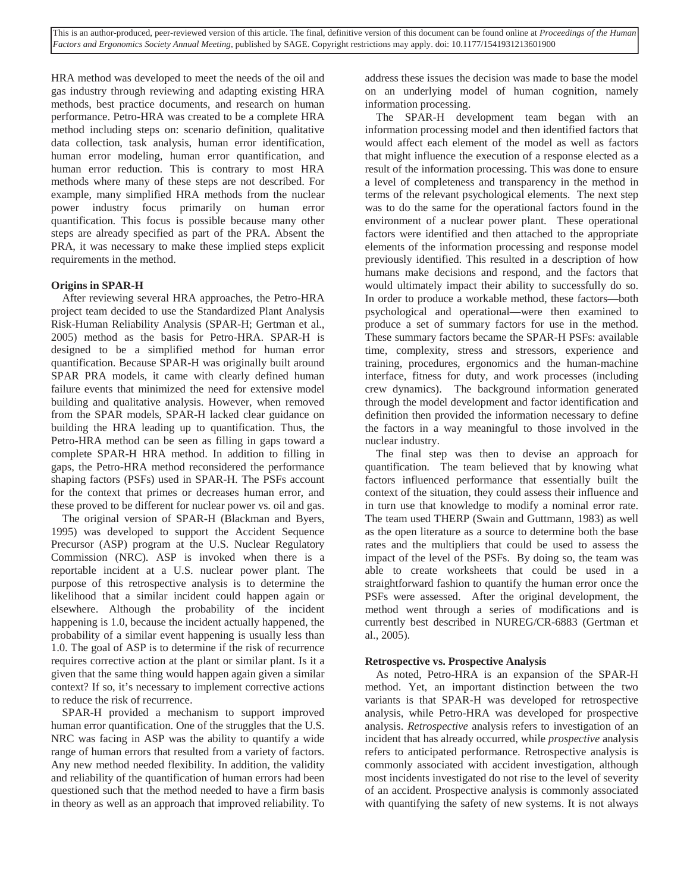HRA method was developed to meet the needs of the oil and gas industry through reviewing and adapting existing HRA methods, best practice documents, and research on human performance. Petro-HRA was created to be a complete HRA method including steps on: scenario definition, qualitative data collection, task analysis, human error identification, human error modeling, human error quantification, and human error reduction. This is contrary to most HRA methods where many of these steps are not described. For example, many simplified HRA methods from the nuclear power industry focus primarily on human error quantification. This focus is possible because many other steps are already specified as part of the PRA. Absent the PRA, it was necessary to make these implied steps explicit requirements in the method.

# **Origins in SPAR-H**

After reviewing several HRA approaches, the Petro-HRA project team decided to use the Standardized Plant Analysis Risk-Human Reliability Analysis (SPAR-H; Gertman et al., 2005) method as the basis for Petro-HRA. SPAR-H is designed to be a simplified method for human error quantification. Because SPAR-H was originally built around SPAR PRA models, it came with clearly defined human failure events that minimized the need for extensive model building and qualitative analysis. However, when removed from the SPAR models, SPAR-H lacked clear guidance on building the HRA leading up to quantification. Thus, the Petro-HRA method can be seen as filling in gaps toward a complete SPAR-H HRA method. In addition to filling in gaps, the Petro-HRA method reconsidered the performance shaping factors (PSFs) used in SPAR-H. The PSFs account for the context that primes or decreases human error, and these proved to be different for nuclear power vs. oil and gas.

The original version of SPAR-H (Blackman and Byers, 1995) was developed to support the Accident Sequence Precursor (ASP) program at the U.S. Nuclear Regulatory Commission (NRC). ASP is invoked when there is a reportable incident at a U.S. nuclear power plant. The purpose of this retrospective analysis is to determine the likelihood that a similar incident could happen again or elsewhere. Although the probability of the incident happening is 1.0, because the incident actually happened, the probability of a similar event happening is usually less than 1.0. The goal of ASP is to determine if the risk of recurrence requires corrective action at the plant or similar plant. Is it a given that the same thing would happen again given a similar context? If so, it's necessary to implement corrective actions to reduce the risk of recurrence.

SPAR-H provided a mechanism to support improved human error quantification. One of the struggles that the U.S. NRC was facing in ASP was the ability to quantify a wide range of human errors that resulted from a variety of factors. Any new method needed flexibility. In addition, the validity and reliability of the quantification of human errors had been questioned such that the method needed to have a firm basis in theory as well as an approach that improved reliability. To address these issues the decision was made to base the model on an underlying model of human cognition, namely information processing.

The SPAR-H development team began with an information processing model and then identified factors that would affect each element of the model as well as factors that might influence the execution of a response elected as a result of the information processing. This was done to ensure a level of completeness and transparency in the method in terms of the relevant psychological elements. The next step was to do the same for the operational factors found in the environment of a nuclear power plant. These operational factors were identified and then attached to the appropriate elements of the information processing and response model previously identified. This resulted in a description of how humans make decisions and respond, and the factors that would ultimately impact their ability to successfully do so. In order to produce a workable method, these factors—both psychological and operational—were then examined to produce a set of summary factors for use in the method. These summary factors became the SPAR-H PSFs: available time, complexity, stress and stressors, experience and training, procedures, ergonomics and the human-machine interface, fitness for duty, and work processes (including crew dynamics). The background information generated through the model development and factor identification and definition then provided the information necessary to define the factors in a way meaningful to those involved in the nuclear industry.

The final step was then to devise an approach for quantification. The team believed that by knowing what factors influenced performance that essentially built the context of the situation, they could assess their influence and in turn use that knowledge to modify a nominal error rate. The team used THERP (Swain and Guttmann, 1983) as well as the open literature as a source to determine both the base rates and the multipliers that could be used to assess the impact of the level of the PSFs. By doing so, the team was able to create worksheets that could be used in a straightforward fashion to quantify the human error once the PSFs were assessed. After the original development, the method went through a series of modifications and is currently best described in NUREG/CR-6883 (Gertman et al., 2005).

# **Retrospective vs. Prospective Analysis**

As noted, Petro-HRA is an expansion of the SPAR-H method. Yet, an important distinction between the two variants is that SPAR-H was developed for retrospective analysis, while Petro-HRA was developed for prospective analysis. *Retrospective* analysis refers to investigation of an incident that has already occurred, while *prospective* analysis refers to anticipated performance. Retrospective analysis is commonly associated with accident investigation, although most incidents investigated do not rise to the level of severity of an accident. Prospective analysis is commonly associated with quantifying the safety of new systems. It is not always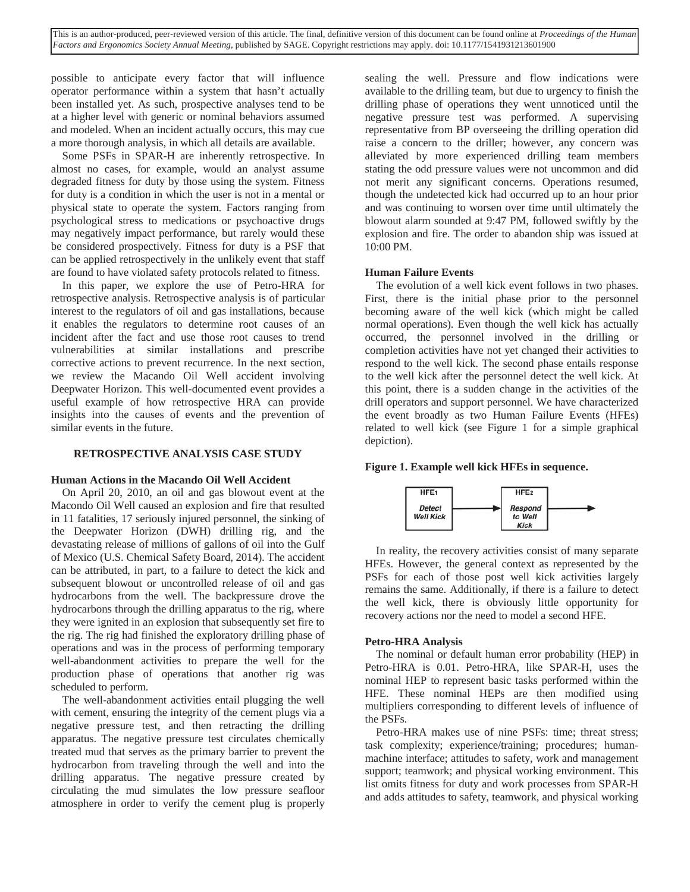possible to anticipate every factor that will influence operator performance within a system that hasn't actually been installed yet. As such, prospective analyses tend to be at a higher level with generic or nominal behaviors assumed and modeled. When an incident actually occurs, this may cue a more thorough analysis, in which all details are available.

Some PSFs in SPAR-H are inherently retrospective. In almost no cases, for example, would an analyst assume degraded fitness for duty by those using the system. Fitness for duty is a condition in which the user is not in a mental or physical state to operate the system. Factors ranging from psychological stress to medications or psychoactive drugs may negatively impact performance, but rarely would these be considered prospectively. Fitness for duty is a PSF that can be applied retrospectively in the unlikely event that staff are found to have violated safety protocols related to fitness.

In this paper, we explore the use of Petro-HRA for retrospective analysis. Retrospective analysis is of particular interest to the regulators of oil and gas installations, because it enables the regulators to determine root causes of an incident after the fact and use those root causes to trend vulnerabilities at similar installations and prescribe corrective actions to prevent recurrence. In the next section, we review the Macando Oil Well accident involving Deepwater Horizon. This well-documented event provides a useful example of how retrospective HRA can provide insights into the causes of events and the prevention of similar events in the future.

# **RETROSPECTIVE ANALYSIS CASE STUDY**

# **Human Actions in the Macando Oil Well Accident**

On April 20, 2010, an oil and gas blowout event at the Macondo Oil Well caused an explosion and fire that resulted in 11 fatalities, 17 seriously injured personnel, the sinking of the Deepwater Horizon (DWH) drilling rig, and the devastating release of millions of gallons of oil into the Gulf of Mexico (U.S. Chemical Safety Board, 2014). The accident can be attributed, in part, to a failure to detect the kick and subsequent blowout or uncontrolled release of oil and gas hydrocarbons from the well. The backpressure drove the hydrocarbons through the drilling apparatus to the rig, where they were ignited in an explosion that subsequently set fire to the rig. The rig had finished the exploratory drilling phase of operations and was in the process of performing temporary well-abandonment activities to prepare the well for the production phase of operations that another rig was scheduled to perform.

The well-abandonment activities entail plugging the well with cement, ensuring the integrity of the cement plugs via a negative pressure test, and then retracting the drilling apparatus. The negative pressure test circulates chemically treated mud that serves as the primary barrier to prevent the hydrocarbon from traveling through the well and into the drilling apparatus. The negative pressure created by circulating the mud simulates the low pressure seafloor atmosphere in order to verify the cement plug is properly sealing the well. Pressure and flow indications were available to the drilling team, but due to urgency to finish the drilling phase of operations they went unnoticed until the negative pressure test was performed. A supervising representative from BP overseeing the drilling operation did raise a concern to the driller; however, any concern was alleviated by more experienced drilling team members stating the odd pressure values were not uncommon and did not merit any significant concerns. Operations resumed, though the undetected kick had occurred up to an hour prior and was continuing to worsen over time until ultimately the blowout alarm sounded at 9:47 PM, followed swiftly by the explosion and fire. The order to abandon ship was issued at 10:00 PM.

# **Human Failure Events**

The evolution of a well kick event follows in two phases. First, there is the initial phase prior to the personnel becoming aware of the well kick (which might be called normal operations). Even though the well kick has actually occurred, the personnel involved in the drilling or completion activities have not yet changed their activities to respond to the well kick. The second phase entails response to the well kick after the personnel detect the well kick. At this point, there is a sudden change in the activities of the drill operators and support personnel. We have characterized the event broadly as two Human Failure Events (HFEs) related to well kick (see Figure 1 for a simple graphical depiction).

# **Figure 1. Example well kick HFEs in sequence.**



In reality, the recovery activities consist of many separate HFEs. However, the general context as represented by the PSFs for each of those post well kick activities largely remains the same. Additionally, if there is a failure to detect the well kick, there is obviously little opportunity for recovery actions nor the need to model a second HFE.

#### **Petro-HRA Analysis**

The nominal or default human error probability (HEP) in Petro-HRA is 0.01. Petro-HRA, like SPAR-H, uses the nominal HEP to represent basic tasks performed within the HFE. These nominal HEPs are then modified using multipliers corresponding to different levels of influence of the PSFs.

Petro-HRA makes use of nine PSFs: time; threat stress; task complexity; experience/training; procedures; humanmachine interface; attitudes to safety, work and management support; teamwork; and physical working environment. This list omits fitness for duty and work processes from SPAR-H and adds attitudes to safety, teamwork, and physical working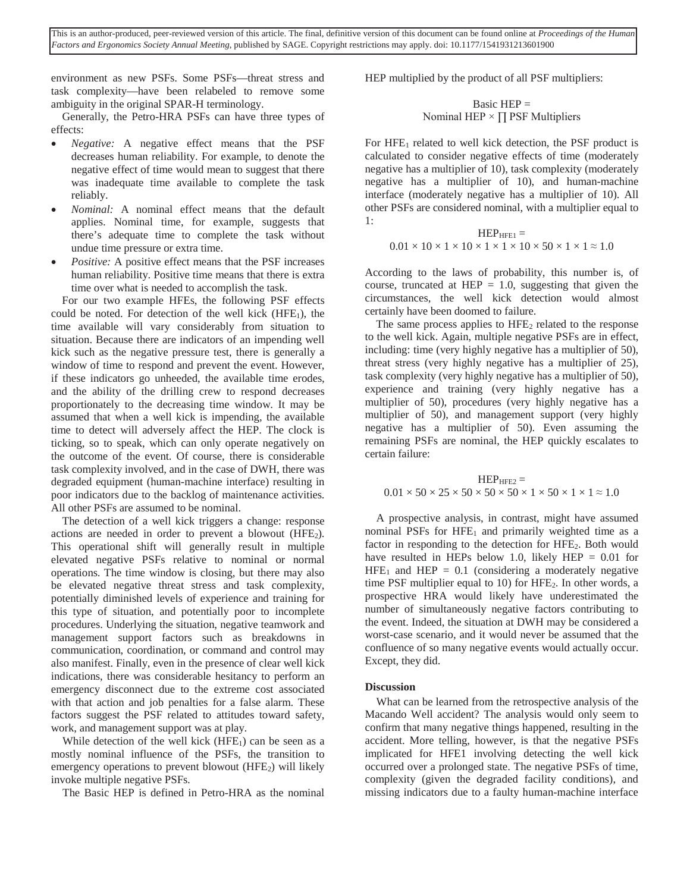environment as new PSFs. Some PSFs—threat stress and task complexity—have been relabeled to remove some ambiguity in the original SPAR-H terminology.

Generally, the Petro-HRA PSFs can have three types of effects:

- *Negative:* A negative effect means that the PSF decreases human reliability. For example, to denote the negative effect of time would mean to suggest that there was inadequate time available to complete the task reliably.
- *Nominal:* A nominal effect means that the default applies. Nominal time, for example, suggests that there's adequate time to complete the task without undue time pressure or extra time.
- *Positive:* A positive effect means that the PSF increases human reliability. Positive time means that there is extra time over what is needed to accomplish the task.

For our two example HFEs, the following PSF effects could be noted. For detection of the well kick  $(HFE<sub>1</sub>)$ , the time available will vary considerably from situation to situation. Because there are indicators of an impending well kick such as the negative pressure test, there is generally a window of time to respond and prevent the event. However, if these indicators go unheeded, the available time erodes, and the ability of the drilling crew to respond decreases proportionately to the decreasing time window. It may be assumed that when a well kick is impending, the available time to detect will adversely affect the HEP. The clock is ticking, so to speak, which can only operate negatively on the outcome of the event. Of course, there is considerable task complexity involved, and in the case of DWH, there was degraded equipment (human-machine interface) resulting in poor indicators due to the backlog of maintenance activities. All other PSFs are assumed to be nominal.

The detection of a well kick triggers a change: response actions are needed in order to prevent a blowout  $(HFE<sub>2</sub>)$ . This operational shift will generally result in multiple elevated negative PSFs relative to nominal or normal operations. The time window is closing, but there may also be elevated negative threat stress and task complexity, potentially diminished levels of experience and training for this type of situation, and potentially poor to incomplete procedures. Underlying the situation, negative teamwork and management support factors such as breakdowns in communication, coordination, or command and control may also manifest. Finally, even in the presence of clear well kick indications, there was considerable hesitancy to perform an emergency disconnect due to the extreme cost associated with that action and job penalties for a false alarm. These factors suggest the PSF related to attitudes toward safety, work, and management support was at play.

While detection of the well kick  $(HFE<sub>1</sub>)$  can be seen as a mostly nominal influence of the PSFs, the transition to emergency operations to prevent blowout (HFE<sub>2</sub>) will likely invoke multiple negative PSFs.

The Basic HEP is defined in Petro-HRA as the nominal

HEP multiplied by the product of all PSF multipliers:

**Basic HEP =**

\nNormal HEP × 
$$
\Pi
$$
 PSF Multipliers

For  $HFE<sub>1</sub>$  related to well kick detection, the PSF product is calculated to consider negative effects of time (moderately negative has a multiplier of 10), task complexity (moderately negative has a multiplier of 10), and human-machine interface (moderately negative has a multiplier of 10). All other PSFs are considered nominal, with a multiplier equal to 1:

$$
HEP_{HFE1} =
$$
  
0.01 × 10 × 1 × 10 × 1 × 1 × 10 × 50 × 1 × 1 ≈ 1.0

According to the laws of probability, this number is, of course, truncated at  $HEP = 1.0$ , suggesting that given the circumstances, the well kick detection would almost certainly have been doomed to failure.

The same process applies to  $HFE_2$  related to the response to the well kick. Again, multiple negative PSFs are in effect, including: time (very highly negative has a multiplier of 50), threat stress (very highly negative has a multiplier of 25), task complexity (very highly negative has a multiplier of 50), experience and training (very highly negative has a multiplier of 50), procedures (very highly negative has a multiplier of 50), and management support (very highly negative has a multiplier of 50). Even assuming the remaining PSFs are nominal, the HEP quickly escalates to certain failure:

$$
HEP_{HFE2} =
$$
  
0.01 × 50 × 25 × 50 × 50 × 50 × 1 × 50 × 1 × 1 ≈ 1.0

A prospective analysis, in contrast, might have assumed nominal PSFs for HFE<sub>1</sub> and primarily weighted time as a factor in responding to the detection for HFE2. Both would have resulted in HEPs below 1.0, likely HEP  $= 0.01$  for  $HFE<sub>1</sub>$  and  $HEP = 0.1$  (considering a moderately negative time PSF multiplier equal to  $10$ ) for HFE<sub>2</sub>. In other words, a prospective HRA would likely have underestimated the number of simultaneously negative factors contributing to the event. Indeed, the situation at DWH may be considered a worst-case scenario, and it would never be assumed that the confluence of so many negative events would actually occur. Except, they did.

# **Discussion**

What can be learned from the retrospective analysis of the Macando Well accident? The analysis would only seem to confirm that many negative things happened, resulting in the accident. More telling, however, is that the negative PSFs implicated for HFE1 involving detecting the well kick occurred over a prolonged state. The negative PSFs of time, complexity (given the degraded facility conditions), and missing indicators due to a faulty human-machine interface